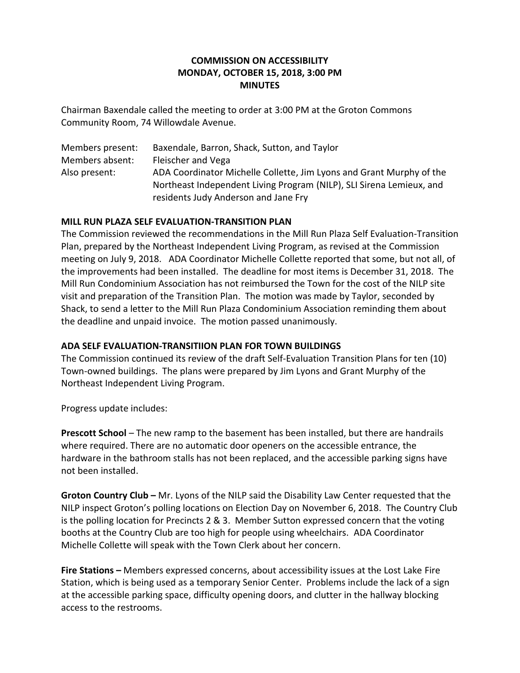# **COMMISSION ON ACCESSIBILITY MONDAY, OCTOBER 15, 2018, 3:00 PM MINUTES**

Chairman Baxendale called the meeting to order at 3:00 PM at the Groton Commons Community Room, 74 Willowdale Avenue.

Members present: Baxendale, Barron, Shack, Sutton, and Taylor Members absent: Fleischer and Vega Also present: ADA Coordinator Michelle Collette, Jim Lyons and Grant Murphy of the Northeast Independent Living Program (NILP), SLI Sirena Lemieux, and residents Judy Anderson and Jane Fry

### **MILL RUN PLAZA SELF EVALUATION-TRANSITION PLAN**

The Commission reviewed the recommendations in the Mill Run Plaza Self Evaluation-Transition Plan, prepared by the Northeast Independent Living Program, as revised at the Commission meeting on July 9, 2018. ADA Coordinator Michelle Collette reported that some, but not all, of the improvements had been installed. The deadline for most items is December 31, 2018. The Mill Run Condominium Association has not reimbursed the Town for the cost of the NILP site visit and preparation of the Transition Plan. The motion was made by Taylor, seconded by Shack, to send a letter to the Mill Run Plaza Condominium Association reminding them about the deadline and unpaid invoice. The motion passed unanimously.

# **ADA SELF EVALUATION-TRANSITIION PLAN FOR TOWN BUILDINGS**

The Commission continued its review of the draft Self-Evaluation Transition Plans for ten (10) Town-owned buildings. The plans were prepared by Jim Lyons and Grant Murphy of the Northeast Independent Living Program.

Progress update includes:

**Prescott School** – The new ramp to the basement has been installed, but there are handrails where required. There are no automatic door openers on the accessible entrance, the hardware in the bathroom stalls has not been replaced, and the accessible parking signs have not been installed.

**Groton Country Club –** Mr. Lyons of the NILP said the Disability Law Center requested that the NILP inspect Groton's polling locations on Election Day on November 6, 2018. The Country Club is the polling location for Precincts 2 & 3. Member Sutton expressed concern that the voting booths at the Country Club are too high for people using wheelchairs. ADA Coordinator Michelle Collette will speak with the Town Clerk about her concern.

**Fire Stations –** Members expressed concerns, about accessibility issues at the Lost Lake Fire Station, which is being used as a temporary Senior Center. Problems include the lack of a sign at the accessible parking space, difficulty opening doors, and clutter in the hallway blocking access to the restrooms.